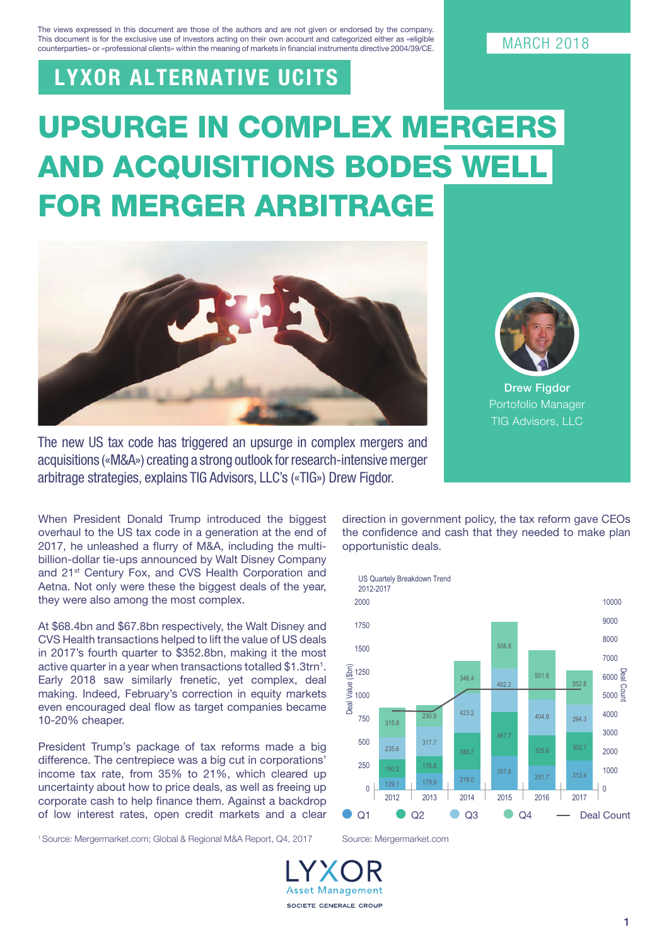The views expressed in this document are those of the authors and are not given or endorsed by the company. This document is for the exclusive use of investors acting on their own account and categorized either as «eligible counterparties» or «professional clients» within the meaning of markets in financial instruments directive 2004/39/CE.

## LYXOR ALTERNATIVE UCITS

# UPSURGE IN COMPLEX MERGERS AND ACQUISITIONS BODES WELL FOR MERGER ARBITRAGE





**Drew Figdor** Portofolio Manager TIG Advisors, LLC

The new US tax code has triggered an upsurge in complex mergers and acquisitions («M&A») creating a strong outlook for research-intensive merger arbitrage strategies, explains TIG Advisors, LLC's («TIG») Drew Figdor.

When President Donald Trump introduced the biggest overhaul to the US tax code in a generation at the end of 2017, he unleashed a flurry of M&A, including the multibillion-dollar tie-ups announced by Walt Disney Company and 21<sup>st</sup> Century Fox, and CVS Health Corporation and Aetna. Not only were these the biggest deals of the year, they were also among the most complex.

At \$68.4bn and \$67.8bn respectively, the Walt Disney and CVS Health transactions helped to lift the value of US deals in 2017's fourth quarter to \$352.8bn, making it the most active quarter in a year when transactions totalled \$1.3trn<sup>1</sup>. Early 2018 saw similarly frenetic, yet complex, deal making. Indeed, February's correction in equity markets even encouraged deal flow as target companies became 10-20% cheaper.

President Trump's package of tax reforms made a big difference. The centrepiece was a big cut in corporations' income tax rate, from 35% to 21%, which cleared up uncertainty about how to price deals, as well as freeing up corporate cash to help finance them. Against a backdrop of low interest rates, open credit markets and a clear

1 Source: Mergermarket.com; Global & Regional M&A Report, Q4, 2017 Source: Mergermarket.com

direction in government policy, the tax reform gave CEOs the confidence and cash that they needed to make plan opportunistic deals.





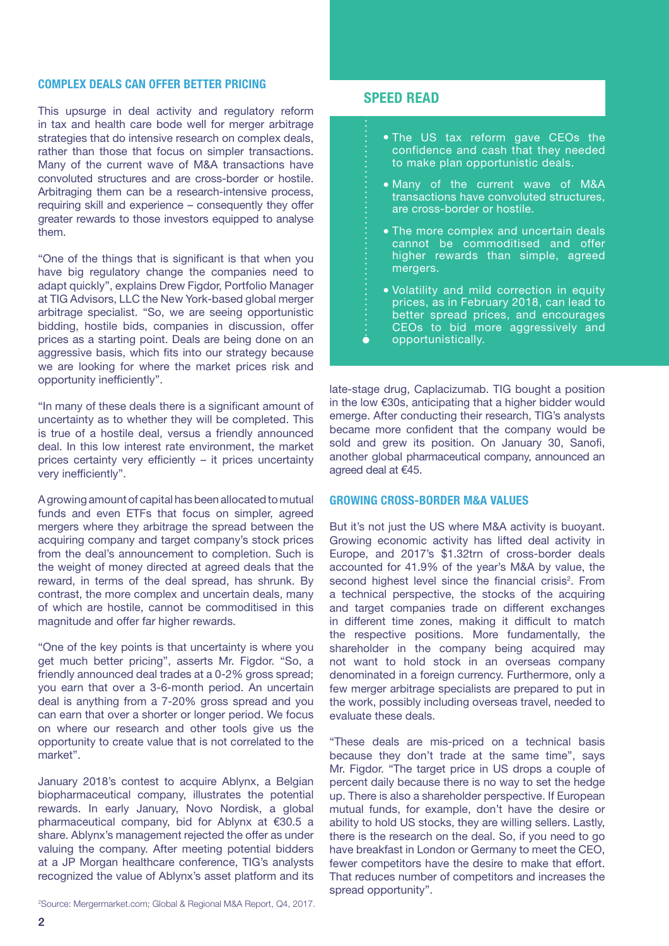### COMPLEX DEALS CAN OFFER BETTER PRICING

This upsurge in deal activity and regulatory reform in tax and health care bode well for merger arbitrage strategies that do intensive research on complex deals, rather than those that focus on simpler transactions. Many of the current wave of M&A transactions have convoluted structures and are cross-border or hostile. Arbitraging them can be a research-intensive process, requiring skill and experience – consequently they offer greater rewards to those investors equipped to analyse them.

"One of the things that is significant is that when you have big regulatory change the companies need to adapt quickly", explains Drew Figdor, Portfolio Manager at TIG Advisors, LLC the New York-based global merger arbitrage specialist. "So, we are seeing opportunistic bidding, hostile bids, companies in discussion, offer prices as a starting point. Deals are being done on an aggressive basis, which fits into our strategy because we are looking for where the market prices risk and opportunity inefficiently".

"In many of these deals there is a significant amount of uncertainty as to whether they will be completed. This is true of a hostile deal, versus a friendly announced deal. In this low interest rate environment, the market prices certainty very efficiently – it prices uncertainty very inefficiently".

A growing amount of capital has been allocated to mutual funds and even ETFs that focus on simpler, agreed mergers where they arbitrage the spread between the acquiring company and target company's stock prices from the deal's announcement to completion. Such is the weight of money directed at agreed deals that the reward, in terms of the deal spread, has shrunk. By contrast, the more complex and uncertain deals, many of which are hostile, cannot be commoditised in this magnitude and offer far higher rewards.

"One of the key points is that uncertainty is where you get much better pricing", asserts Mr. Figdor. "So, a friendly announced deal trades at a 0-2% gross spread; you earn that over a 3-6-month period. An uncertain deal is anything from a 7-20% gross spread and you can earn that over a shorter or longer period. We focus on where our research and other tools give us the opportunity to create value that is not correlated to the market".

January 2018's contest to acquire Ablynx, a Belgian biopharmaceutical company, illustrates the potential rewards. In early January, Novo Nordisk, a global pharmaceutical company, bid for Ablynx at €30.5 a share. Ablynx's management rejected the offer as under valuing the company. After meeting potential bidders at a JP Morgan healthcare conference, TIG's analysts recognized the value of Ablynx's asset platform and its

2 Source: Mergermarket.com; Global & Regional M&A Report, Q4, 2017.

#### SPEED READ

ò

- The US tax reform gave CEOs the confidence and cash that they needed to make plan opportunistic deals.
- Many of the current wave of M&A transactions have convoluted structures, are cross-border or hostile.
- The more complex and uncertain deals cannot be commoditised and offer higher rewards than simple, agreed mergers.
- Volatility and mild correction in equity prices, as in February 2018, can lead to better spread prices, and encourages CEOs to bid more aggressively and opportunistically.

late-stage drug, Caplacizumab. TIG bought a position in the low €30s, anticipating that a higher bidder would emerge. After conducting their research, TIG's analysts became more confident that the company would be sold and grew its position. On January 30, Sanofi, another global pharmaceutical company, announced an agreed deal at €45.

#### GROWING CROSS-BORDER M&A VALUES

But it's not just the US where M&A activity is buoyant. Growing economic activity has lifted deal activity in Europe, and 2017's \$1.32trn of cross-border deals accounted for 41.9% of the year's M&A by value, the second highest level since the financial crisis<sup>2</sup>. From a technical perspective, the stocks of the acquiring and target companies trade on different exchanges in different time zones, making it difficult to match the respective positions. More fundamentally, the shareholder in the company being acquired may not want to hold stock in an overseas company denominated in a foreign currency. Furthermore, only a few merger arbitrage specialists are prepared to put in the work, possibly including overseas travel, needed to evaluate these deals.

"These deals are mis-priced on a technical basis because they don't trade at the same time", says Mr. Figdor. "The target price in US drops a couple of percent daily because there is no way to set the hedge up. There is also a shareholder perspective. If European mutual funds, for example, don't have the desire or ability to hold US stocks, they are willing sellers. Lastly, there is the research on the deal. So, if you need to go have breakfast in London or Germany to meet the CEO, fewer competitors have the desire to make that effort. That reduces number of competitors and increases the spread opportunity".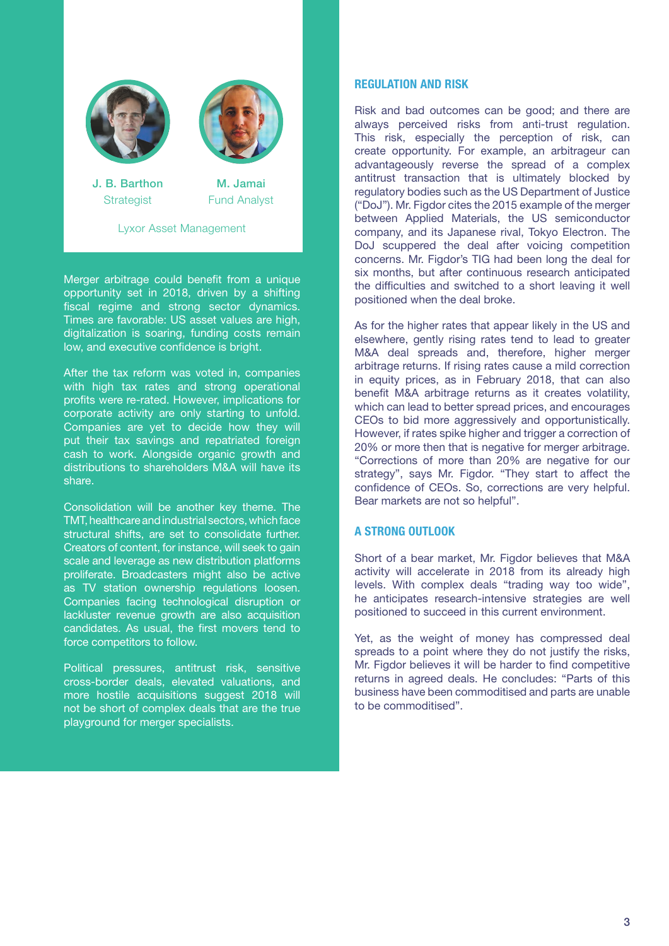

Lyxor Asset Management

Merger arbitrage could benefit from a unique opportunity set in 2018, driven by a shifting fiscal regime and strong sector dynamics. Times are favorable: US asset values are high, digitalization is soaring, funding costs remain low, and executive confidence is bright.

After the tax reform was voted in, companies with high tax rates and strong operational profits were re-rated. However, implications for corporate activity are only starting to unfold. Companies are yet to decide how they will put their tax savings and repatriated foreign cash to work. Alongside organic growth and distributions to shareholders M&A will have its share.

Consolidation will be another key theme. The TMT, healthcare and industrial sectors, which face structural shifts, are set to consolidate further. Creators of content, for instance, will seek to gain scale and leverage as new distribution platforms proliferate. Broadcasters might also be active as TV station ownership regulations loosen. Companies facing technological disruption or lackluster revenue growth are also acquisition candidates. As usual, the first movers tend to force competitors to follow.

Political pressures, antitrust risk, sensitive cross-border deals, elevated valuations, and more hostile acquisitions suggest 2018 will not be short of complex deals that are the true playground for merger specialists.

#### REGULATION AND RISK

Risk and bad outcomes can be good; and there are always perceived risks from anti-trust regulation. This risk, especially the perception of risk, can create opportunity. For example, an arbitrageur can advantageously reverse the spread of a complex antitrust transaction that is ultimately blocked by regulatory bodies such as the US Department of Justice ("DoJ"). Mr. Figdor cites the 2015 example of the merger between Applied Materials, the US semiconductor company, and its Japanese rival, Tokyo Electron. The DoJ scuppered the deal after voicing competition concerns. Mr. Figdor's TIG had been long the deal for six months, but after continuous research anticipated the difficulties and switched to a short leaving it well positioned when the deal broke.

As for the higher rates that appear likely in the US and elsewhere, gently rising rates tend to lead to greater M&A deal spreads and, therefore, higher merger arbitrage returns. If rising rates cause a mild correction in equity prices, as in February 2018, that can also benefit M&A arbitrage returns as it creates volatility, which can lead to better spread prices, and encourages CEOs to bid more aggressively and opportunistically. However, if rates spike higher and trigger a correction of 20% or more then that is negative for merger arbitrage. "Corrections of more than 20% are negative for our strategy", says Mr. Figdor. "They start to affect the confidence of CEOs. So, corrections are very helpful. Bear markets are not so helpful".

#### A STRONG OUTLOOK

Short of a bear market, Mr. Figdor believes that M&A activity will accelerate in 2018 from its already high levels. With complex deals "trading way too wide", he anticipates research-intensive strategies are well positioned to succeed in this current environment.

Yet, as the weight of money has compressed deal spreads to a point where they do not justify the risks. Mr. Figdor believes it will be harder to find competitive returns in agreed deals. He concludes: "Parts of this business have been commoditised and parts are unable to be commoditised".